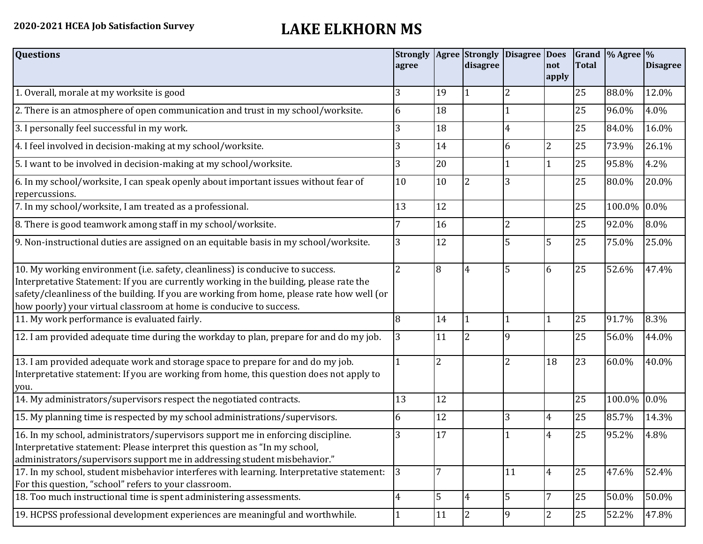## **2020-2021 HCEA Job Satisfaction Survey LAKE ELKHORN MS**

| <b>Questions</b>                                                                                                                                                                                                                                                                                                                               | agree |                | <b>Strongly Agree Strongly</b><br>disagree | Disagree Does  | not<br>apply   | <b>Total</b> | Grand $\frac{9}{6}$ Agree $\frac{9}{6}$ | <b>Disagree</b> |
|------------------------------------------------------------------------------------------------------------------------------------------------------------------------------------------------------------------------------------------------------------------------------------------------------------------------------------------------|-------|----------------|--------------------------------------------|----------------|----------------|--------------|-----------------------------------------|-----------------|
| 1. Overall, morale at my worksite is good                                                                                                                                                                                                                                                                                                      | 3     | 19             |                                            | 2              |                | 25           | 88.0%                                   | 12.0%           |
| 2. There is an atmosphere of open communication and trust in my school/worksite.                                                                                                                                                                                                                                                               | 6     | 18             |                                            |                |                | 25           | 96.0%                                   | 4.0%            |
| 3. I personally feel successful in my work.                                                                                                                                                                                                                                                                                                    | 3     | 18             |                                            | 4              |                | 25           | 84.0%                                   | 16.0%           |
| 4. I feel involved in decision-making at my school/worksite.                                                                                                                                                                                                                                                                                   | 3     | 14             |                                            | 6              | $\overline{2}$ | 25           | 73.9%                                   | 26.1%           |
| 5. I want to be involved in decision-making at my school/worksite.                                                                                                                                                                                                                                                                             | 3     | 20             |                                            |                |                | 25           | 95.8%                                   | 4.2%            |
| 6. In my school/worksite, I can speak openly about important issues without fear of<br>repercussions.                                                                                                                                                                                                                                          | 10    | 10             |                                            |                |                | 25           | 80.0%                                   | 20.0%           |
| 7. In my school/worksite, I am treated as a professional.                                                                                                                                                                                                                                                                                      | 13    | 12             |                                            |                |                | 25           | 100.0%                                  | 0.0%            |
| 8. There is good teamwork among staff in my school/worksite.                                                                                                                                                                                                                                                                                   |       | 16             |                                            | $\overline{2}$ |                | 25           | 92.0%                                   | 8.0%            |
| 9. Non-instructional duties are assigned on an equitable basis in my school/worksite.                                                                                                                                                                                                                                                          | 3     | 12             |                                            | 5              | 5              | 25           | 75.0%                                   | 25.0%           |
| 10. My working environment (i.e. safety, cleanliness) is conducive to success.<br>Interpretative Statement: If you are currently working in the building, please rate the<br>safety/cleanliness of the building. If you are working from home, please rate how well (or<br>how poorly) your virtual classroom at home is conducive to success. | 2     | 8              |                                            | 5              | 6              | 25           | 52.6%                                   | 47.4%           |
| 11. My work performance is evaluated fairly.                                                                                                                                                                                                                                                                                                   | 8     | 14             |                                            |                |                | 25           | 91.7%                                   | 8.3%            |
| 12. I am provided adequate time during the workday to plan, prepare for and do my job.                                                                                                                                                                                                                                                         | 3     | 11             | 2                                          | q              |                | 25           | 56.0%                                   | 44.0%           |
| 13. I am provided adequate work and storage space to prepare for and do my job.<br>Interpretative statement: If you are working from home, this question does not apply to<br>you.                                                                                                                                                             |       | $\overline{2}$ |                                            | $\overline{2}$ | 18             | 23           | 60.0%                                   | 40.0%           |
| 14. My administrators/supervisors respect the negotiated contracts.                                                                                                                                                                                                                                                                            | 13    | 12             |                                            |                |                | 25           | 100.0%                                  | 0.0%            |
| 15. My planning time is respected by my school administrations/supervisors.                                                                                                                                                                                                                                                                    | 6     | 12             |                                            | 3              | 4              | 25           | 85.7%                                   | 14.3%           |
| 16. In my school, administrators/supervisors support me in enforcing discipline.<br>Interpretative statement: Please interpret this question as "In my school,<br>administrators/supervisors support me in addressing student misbehavior."                                                                                                    | 3     | 17             |                                            |                | $\overline{4}$ | 25           | 95.2%                                   | 4.8%            |
| 17. In my school, student misbehavior interferes with learning. Interpretative statement:<br>For this question, "school" refers to your classroom.                                                                                                                                                                                             | 3     | 7              |                                            | 11             | $\overline{4}$ | 25           | 47.6%                                   | 52.4%           |
| 18. Too much instructional time is spent administering assessments.                                                                                                                                                                                                                                                                            | 4     | 5              | 4                                          | 5              |                | 25           | 50.0%                                   | 50.0%           |
| 19. HCPSS professional development experiences are meaningful and worthwhile.                                                                                                                                                                                                                                                                  |       | 11             | $\overline{2}$                             | 9              | $\overline{2}$ | 25           | 52.2%                                   | 47.8%           |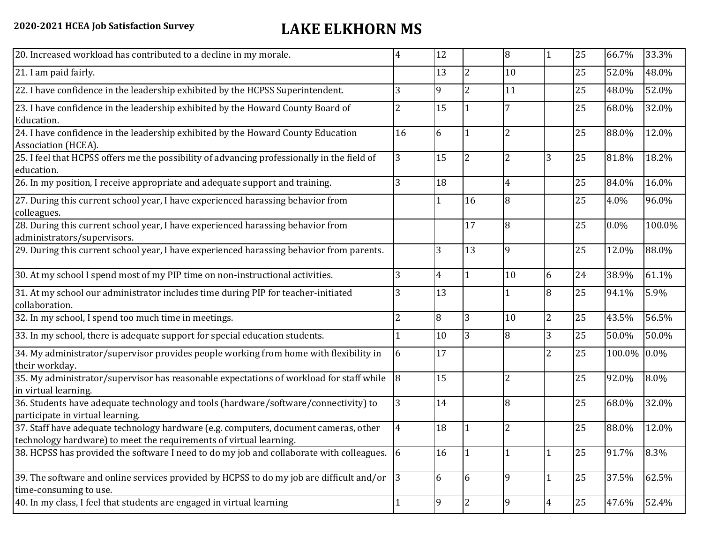## **2020-2021 HCEA Job Satisfaction Survey LAKE ELKHORN MS**

| 20. Increased workload has contributed to a decline in my morale.                                                                                          | 4              | 12             |                | 8              |                | 25 | 66.7%  | 33.3%   |
|------------------------------------------------------------------------------------------------------------------------------------------------------------|----------------|----------------|----------------|----------------|----------------|----|--------|---------|
| 21. I am paid fairly.                                                                                                                                      |                | 13             | $\overline{2}$ | 10             |                | 25 | 52.0%  | 48.0%   |
| 22. I have confidence in the leadership exhibited by the HCPSS Superintendent.                                                                             | 3              | 9              | $\overline{2}$ | 11             |                | 25 | 48.0%  | 52.0%   |
| 23. I have confidence in the leadership exhibited by the Howard County Board of<br>Education.                                                              | 2              | 15             |                |                |                | 25 | 68.0%  | 32.0%   |
| 24. I have confidence in the leadership exhibited by the Howard County Education<br>Association (HCEA).                                                    | 16             | 6              |                | $\overline{2}$ |                | 25 | 88.0%  | 12.0%   |
| 25. I feel that HCPSS offers me the possibility of advancing professionally in the field of<br>education.                                                  | 3              | 15             | 2              | 2              | 3              | 25 | 81.8%  | 18.2%   |
| 26. In my position, I receive appropriate and adequate support and training.                                                                               |                | 18             |                | 4              |                | 25 | 84.0%  | 16.0%   |
| 27. During this current school year, I have experienced harassing behavior from<br>colleagues.                                                             |                | 1              | 16             | 8              |                | 25 | 4.0%   | 96.0%   |
| 28. During this current school year, I have experienced harassing behavior from<br>administrators/supervisors.                                             |                |                | 17             | 8              |                | 25 | 0.0%   | 100.0%  |
| 29. During this current school year, I have experienced harassing behavior from parents.                                                                   |                | 3              | 13             | 9              |                | 25 | 12.0%  | 88.0%   |
| 30. At my school I spend most of my PIP time on non-instructional activities.                                                                              | 3              | $\overline{4}$ |                | 10             | 6              | 24 | 38.9%  | 61.1%   |
| 31. At my school our administrator includes time during PIP for teacher-initiated<br>collaboration.                                                        | 3              | 13             |                |                | 8              | 25 | 94.1%  | 5.9%    |
| 32. In my school, I spend too much time in meetings.                                                                                                       | 2              | 8              | 3              | 10             | $\overline{2}$ | 25 | 43.5%  | 56.5%   |
| 33. In my school, there is adequate support for special education students.                                                                                |                | 10             | 3              | 8              | 3              | 25 | 50.0%  | 50.0%   |
| 34. My administrator/supervisor provides people working from home with flexibility in<br>their workday.                                                    | 6              | 17             |                |                | $\overline{2}$ | 25 | 100.0% | $0.0\%$ |
| 35. My administrator/supervisor has reasonable expectations of workload for staff while<br>in virtual learning.                                            | 8              | 15             |                | $\overline{2}$ |                | 25 | 92.0%  | 8.0%    |
| 36. Students have adequate technology and tools (hardware/software/connectivity) to<br>participate in virtual learning.                                    | 3              | 14             |                | 8              |                | 25 | 68.0%  | 32.0%   |
| 37. Staff have adequate technology hardware (e.g. computers, document cameras, other<br>technology hardware) to meet the requirements of virtual learning. | $\overline{4}$ | 18             |                | 2              |                | 25 | 88.0%  | 12.0%   |
| 38. HCPSS has provided the software I need to do my job and collaborate with colleagues. 6                                                                 |                | 16             |                |                |                | 25 | 91.7%  | 8.3%    |
| 39. The software and online services provided by HCPSS to do my job are difficult and/or<br>time-consuming to use.                                         | 3              | 6              | 6              | 9              |                | 25 | 37.5%  | 62.5%   |
| 40. In my class, I feel that students are engaged in virtual learning                                                                                      |                | 9              | 2              | 9              | $\overline{4}$ | 25 | 47.6%  | 52.4%   |